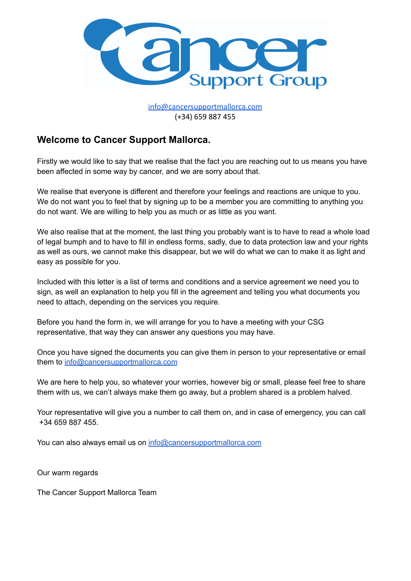

[info@cancersupportmallorca.com](mailto:info@cancersupportmallorca.com) (+34) 659 887 455

### **Welcome to Cancer Support Mallorca.**

Firstly we would like to say that we realise that the fact you are reaching out to us means you have been affected in some way by cancer, and we are sorry about that.

We realise that everyone is different and therefore your feelings and reactions are unique to you. We do not want you to feel that by signing up to be a member you are committing to anything you do not want. We are willing to help you as much or as little as you want.

We also realise that at the moment, the last thing you probably want is to have to read a whole load of legal bumph and to have to fill in endless forms, sadly, due to data protection law and your rights as well as ours, we cannot make this disappear, but we will do what we can to make it as light and easy as possible for you.

Included with this letter is a list of terms and conditions and a service agreement we need you to sign, as well an explanation to help you fill in the agreement and telling you what documents you need to attach, depending on the services you require.

Before you hand the form in, we will arrange for you to have a meeting with your CSG representative, that way they can answer any questions you may have.

Once you have signed the documents you can give them in person to your representative or email them to [info@cancersupportmallorca.com](mailto:info@cancersupportmallorca.com)

We are here to help you, so whatever your worries, however big or small, please feel free to share them with us, we can't always make them go away, but a problem shared is a problem halved.

Your representative will give you a number to call them on, and in case of emergency, you can call +34 659 887 455.

You can also always email us on [info@cancersupportmallorca.com](mailto:info@cancersupportmallorca.com)

Our warm regards

The Cancer Support Mallorca Team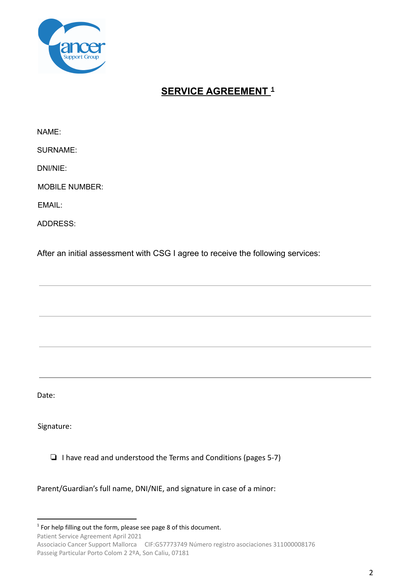

## **SERVICE AGREEMENT 1**

NAME:

SURNAME:

DNI/NIE:

MOBILE NUMBER:

EMAIL:

ADDRESS:

After an initial assessment with CSG I agree to receive the following services:

Date:

Signature:

❏ I have read and understood the Terms and Conditions (pages 5-7)

Parent/Guardian's full name, DNI/NIE, and signature in case of a minor:

Patient Service Agreement April 2021

Associacio Cancer Support Mallorca CIF:G57773749 Número registro asociaciones 311000008176 Passeig Particular Porto Colom 2 2ºA, Son Caliu, 07181

 $1$  For help filling out the form, please see page 8 of this document.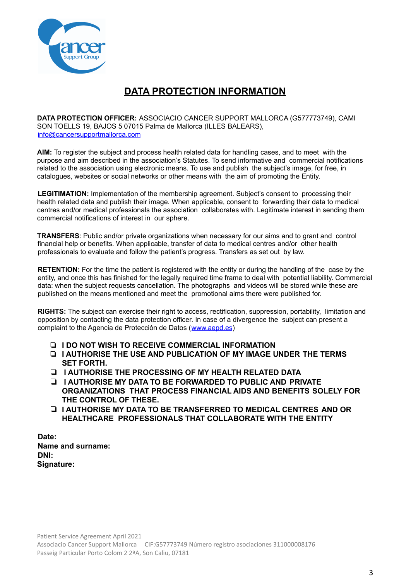

## **DATA PROTECTION INFORMATION**

**DATA PROTECTION OFFICER:** ASSOCIACIO CANCER SUPPORT MALLORCA (G577773749), CAMI SON TOELLS 19, BAJOS 5 07015 Palma de Mallorca (ILLES BALEARS), info@cancersupportmallorca.com

**AIM:** To register the subject and process health related data for handling cases, and to meet with the purpose and aim described in the association's Statutes. To send informative and commercial notifications related to the association using electronic means. To use and publish the subject's image, for free, in catalogues, websites or social networks or other means with the aim of promoting the Entity.

**LEGITIMATION:** Implementation of the membership agreement. Subject's consent to processing their health related data and publish their image. When applicable, consent to forwarding their data to medical centres and/or medical professionals the association collaborates with. Legitimate interest in sending them commercial notifications of interest in our sphere.

**TRANSFERS**: Public and/or private organizations when necessary for our aims and to grant and control financial help or benefits. When applicable, transfer of data to medical centres and/or other health professionals to evaluate and follow the patient's progress. Transfers as set out by law.

**RETENTION:** For the time the patient is registered with the entity or during the handling of the case by the entity, and once this has finished for the legally required time frame to deal with potential liability. Commercial data: when the subject requests cancellation. The photographs and videos will be stored while these are published on the means mentioned and meet the promotional aims there were published for.

**RIGHTS:** The subject can exercise their right to access, rectification, suppression, portability, limitation and opposition by contacting the data protection officer. In case of a divergence the subject can present a complaint to the Agencia de Protección de Datos (www.aepd.es)

- ❏ **I DO NOT WISH TO RECEIVE COMMERCIAL INFORMATION**
- ❏ **I AUTHORISE THE USE AND PUBLICATION OF MY IMAGE UNDER THE TERMS SET FORTH.**
- ❏ **I AUTHORISE THE PROCESSING OF MY HEALTH RELATED DATA**
- ❏ **I AUTHORISE MY DATA TO BE FORWARDED TO PUBLIC AND PRIVATE ORGANIZATIONS THAT PROCESS FINANCIAL AIDS AND BENEFITS SOLELY FOR THE CONTROL OF THESE.**
- ❏ **I AUTHORISE MY DATA TO BE TRANSFERRED TO MEDICAL CENTRES AND OR HEALTHCARE PROFESSIONALS THAT COLLABORATE WITH THE ENTITY**

**Date: Name and surname: DNI: Signature:**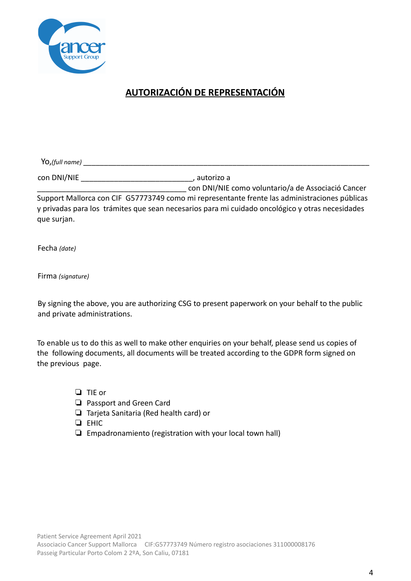

# **AUTORIZACIÓN DE REPRESENTACIÓN**

Yo,*(full name)* \_\_\_\_\_\_\_\_\_\_\_\_\_\_\_\_\_\_\_\_\_\_\_\_\_\_\_\_\_\_\_\_\_\_\_\_\_\_\_\_\_\_\_\_\_\_\_\_\_\_\_\_\_\_\_\_\_\_\_\_\_\_\_\_\_\_\_\_\_

con DNI/NIE \_\_\_\_\_\_\_\_\_\_\_\_\_\_\_\_\_\_\_\_\_\_\_\_\_\_\_, autorizo a

\_\_\_\_\_\_\_\_\_\_\_\_\_\_\_\_\_\_\_\_\_\_\_\_\_\_\_\_\_\_\_\_\_\_\_\_ con DNI/NIE como voluntario/a de Associació Cancer Support Mallorca con CIF G57773749 como mi representante frente las administraciones públicas y privadas para los trámites que sean necesarios para mi cuidado oncológico y otras necesidades que surjan.

Fecha *(date)*

Firma *(signature)*

By signing the above, you are authorizing CSG to present paperwork on your behalf to the public and private administrations.

To enable us to do this as well to make other enquiries on your behalf, please send us copies of the following documents, all documents will be treated according to the GDPR form signed on the previous page.

- ❏ TIE or
- ❏ Passport and Green Card
- ❏ Tarjeta Sanitaria (Red health card) or

❏ EHIC

❏ Empadronamiento (registration with your local town hall)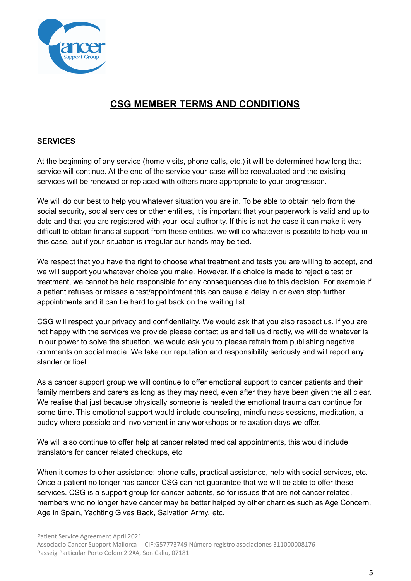

## **CSG MEMBER TERMS AND CONDITIONS**

#### **SERVICES**

At the beginning of any service (home visits, phone calls, etc.) it will be determined how long that service will continue. At the end of the service your case will be reevaluated and the existing services will be renewed or replaced with others more appropriate to your progression.

We will do our best to help you whatever situation you are in. To be able to obtain help from the social security, social services or other entities, it is important that your paperwork is valid and up to date and that you are registered with your local authority. If this is not the case it can make it very difficult to obtain financial support from these entities, we will do whatever is possible to help you in this case, but if your situation is irregular our hands may be tied.

We respect that you have the right to choose what treatment and tests you are willing to accept, and we will support you whatever choice you make. However, if a choice is made to reject a test or treatment, we cannot be held responsible for any consequences due to this decision. For example if a patient refuses or misses a test/appointment this can cause a delay in or even stop further appointments and it can be hard to get back on the waiting list.

CSG will respect your privacy and confidentiality. We would ask that you also respect us. If you are not happy with the services we provide please contact us and tell us directly, we will do whatever is in our power to solve the situation, we would ask you to please refrain from publishing negative comments on social media. We take our reputation and responsibility seriously and will report any slander or libel.

As a cancer support group we will continue to offer emotional support to cancer patients and their family members and carers as long as they may need, even after they have been given the all clear. We realise that just because physically someone is healed the emotional trauma can continue for some time. This emotional support would include counseling, mindfulness sessions, meditation, a buddy where possible and involvement in any workshops or relaxation days we offer.

We will also continue to offer help at cancer related medical appointments, this would include translators for cancer related checkups, etc.

When it comes to other assistance: phone calls, practical assistance, help with social services, etc. Once a patient no longer has cancer CSG can not guarantee that we will be able to offer these services. CSG is a support group for cancer patients, so for issues that are not cancer related, members who no longer have cancer may be better helped by other charities such as Age Concern, Age in Spain, Yachting Gives Back, Salvation Army, etc.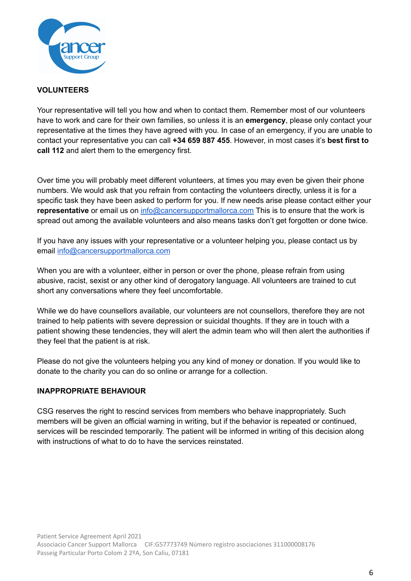

#### **VOLUNTEERS**

Your representative will tell you how and when to contact them. Remember most of our volunteers have to work and care for their own families, so unless it is an **emergency**, please only contact your representative at the times they have agreed with you. In case of an emergency, if you are unable to contact your representative you can call **+34 659 887 455**. However, in most cases it's **best first to call 112** and alert them to the emergency first.

Over time you will probably meet different volunteers, at times you may even be given their phone numbers. We would ask that you refrain from contacting the volunteers directly, unless it is for a specific task they have been asked to perform for you. If new needs arise please contact either your **representative** or email us on [info@cancersupportmallorca.com](mailto:info@cancersupportmallorca.com) This is to ensure that the work is spread out among the available volunteers and also means tasks don't get forgotten or done twice.

If you have any issues with your representative or a volunteer helping you, please contact us by email [info@cancersupportmallorca.com](mailto:info@cancersupportmallorca.com)

When you are with a volunteer, either in person or over the phone, please refrain from using abusive, racist, sexist or any other kind of derogatory language. All volunteers are trained to cut short any conversations where they feel uncomfortable.

While we do have counsellors available, our volunteers are not counsellors, therefore they are not trained to help patients with severe depression or suicidal thoughts. If they are in touch with a patient showing these tendencies, they will alert the admin team who will then alert the authorities if they feel that the patient is at risk.

Please do not give the volunteers helping you any kind of money or donation. If you would like to donate to the charity you can do so online or arrange for a collection.

#### **INAPPROPRIATE BEHAVIOUR**

CSG reserves the right to rescind services from members who behave inappropriately. Such members will be given an official warning in writing, but if the behavior is repeated or continued, services will be rescinded temporarily. The patient will be informed in writing of this decision along with instructions of what to do to have the services reinstated.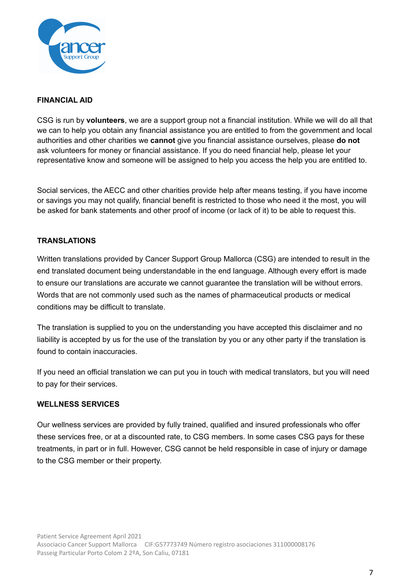

### **FINANCIAL AID**

CSG is run by **volunteers**, we are a support group not a financial institution. While we will do all that we can to help you obtain any financial assistance you are entitled to from the government and local authorities and other charities we **cannot** give you financial assistance ourselves, please **do not** ask volunteers for money or financial assistance. If you do need financial help, please let your representative know and someone will be assigned to help you access the help you are entitled to.

Social services, the AECC and other charities provide help after means testing, if you have income or savings you may not qualify, financial benefit is restricted to those who need it the most, you will be asked for bank statements and other proof of income (or lack of it) to be able to request this.

#### **TRANSLATIONS**

Written translations provided by Cancer Support Group Mallorca (CSG) are intended to result in the end translated document being understandable in the end language. Although every effort is made to ensure our translations are accurate we cannot guarantee the translation will be without errors. Words that are not commonly used such as the names of pharmaceutical products or medical conditions may be difficult to translate.

The translation is supplied to you on the understanding you have accepted this disclaimer and no liability is accepted by us for the use of the translation by you or any other party if the translation is found to contain inaccuracies.

If you need an official translation we can put you in touch with medical translators, but you will need to pay for their services.

#### **WELLNESS SERVICES**

Our wellness services are provided by fully trained, qualified and insured professionals who offer these services free, or at a discounted rate, to CSG members. In some cases CSG pays for these treatments, in part or in full. However, CSG cannot be held responsible in case of injury or damage to the CSG member or their property.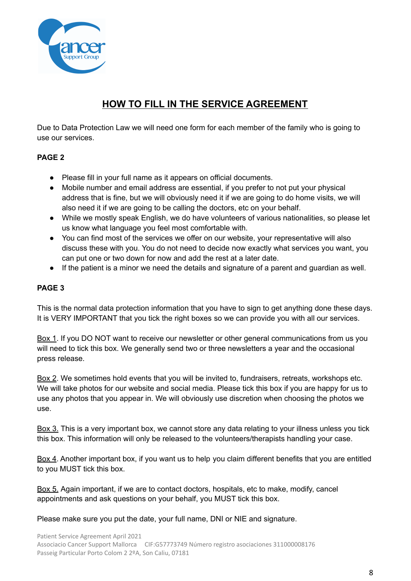

## **HOW TO FILL IN THE SERVICE AGREEMENT**

Due to Data Protection Law we will need one form for each member of the family who is going to use our services.

### **PAGE 2**

- Please fill in your full name as it appears on official documents.
- Mobile number and email address are essential, if you prefer to not put your physical address that is fine, but we will obviously need it if we are going to do home visits, we will also need it if we are going to be calling the doctors, etc on your behalf.
- While we mostly speak English, we do have volunteers of various nationalities, so please let us know what language you feel most comfortable with.
- You can find most of the services we offer on our website, your representative will also discuss these with you. You do not need to decide now exactly what services you want, you can put one or two down for now and add the rest at a later date.
- If the patient is a minor we need the details and signature of a parent and guardian as well.

### **PAGE 3**

This is the normal data protection information that you have to sign to get anything done these days. It is VERY IMPORTANT that you tick the right boxes so we can provide you with all our services.

Box 1. If you DO NOT want to receive our newsletter or other general communications from us you will need to tick this box. We generally send two or three newsletters a year and the occasional press release.

Box 2. We sometimes hold events that you will be invited to, fundraisers, retreats, workshops etc. We will take photos for our website and social media. Please tick this box if you are happy for us to use any photos that you appear in. We will obviously use discretion when choosing the photos we use.

Box 3. This is a very important box, we cannot store any data relating to your illness unless you tick this box. This information will only be released to the volunteers/therapists handling your case.

Box 4. Another important box, if you want us to help you claim different benefits that you are entitled to you MUST tick this box.

Box 5. Again important, if we are to contact doctors, hospitals, etc to make, modify, cancel appointments and ask questions on your behalf, you MUST tick this box.

Please make sure you put the date, your full name, DNI or NIE and signature.